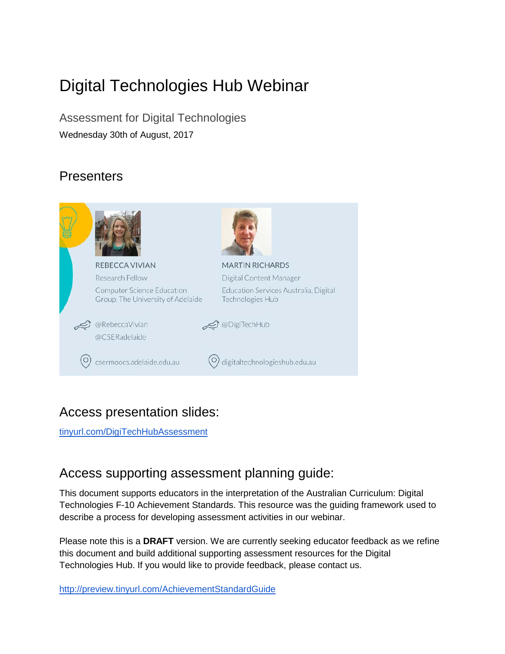# Digital Technologies Hub Webinar

Assessment for Digital Technologies Wednesday 30th of August, 2017

# **Presenters**



# Access presentation slides:

[tinyurl.com/DigiTechHubAssessment](http://tinyurl.com/DigiTechHubAssessment)

# Access supporting assessment planning guide:

This document supports educators in the interpretation of the Australian Curriculum: Digital Technologies F-10 Achievement Standards. This resource was the guiding framework used to describe a process for developing assessment activities in our webinar.

Please note this is a **DRAFT** version. We are currently seeking educator feedback as we refine this document and build additional supporting assessment resources for the Digital Technologies Hub. If you would like to provide feedback, please contact us.

<http://preview.tinyurl.com/AchievementStandardGuide>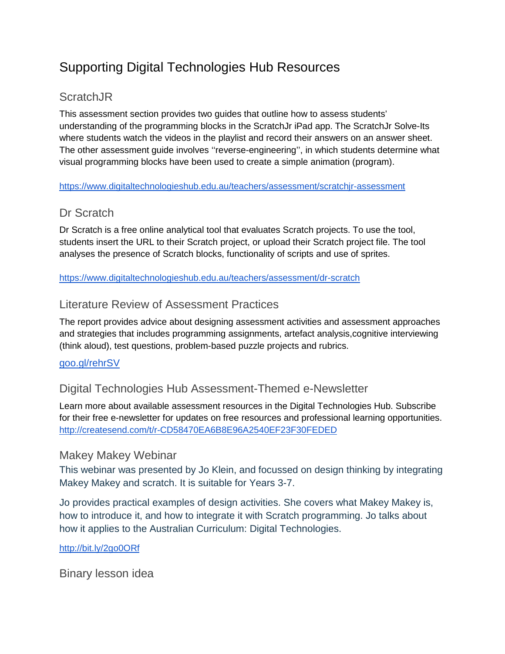# Supporting Digital Technologies Hub Resources

### **ScratchJR**

This assessment section provides two guides that outline how to assess students' understanding of the programming blocks in the ScratchJr iPad app. The ScratchJr Solve-Its where students watch the videos in the playlist and record their answers on an answer sheet. The other assessment guide involves ''reverse-engineering'', in which students determine what visual programming blocks have been used to create a simple animation (program).

#### <https://www.digitaltechnologieshub.edu.au/teachers/assessment/scratchjr-assessment>

### Dr Scratch

Dr Scratch is a free online analytical tool that evaluates Scratch projects. To use the tool, students insert the URL to their Scratch project, or upload their Scratch project file. The tool analyses the presence of Scratch blocks, functionality of scripts and use of sprites.

<https://www.digitaltechnologieshub.edu.au/teachers/assessment/dr-scratch>

### Literature Review of Assessment Practices

The report provides advice about designing assessment activities and assessment approaches and strategies that includes programming assignments, artefact analysis,cognitive interviewing (think aloud), test questions, problem-based puzzle projects and rubrics.

#### [goo.gl/rehrSV](https://www.digitaltechnologieshub.edu.au/resourcedetail?id=24154798-09f9-6792-a599-ff0000f327dd#/)

### Digital Technologies Hub Assessment-Themed e-Newsletter

Learn more about available assessment resources in the Digital Technologies Hub. Subscribe for their free e-newsletter for updates on free resources and professional learning opportunities. <http://createsend.com/t/r-CD58470EA6B8E96A2540EF23F30FEDED>

#### Makey Makey Webinar

This webinar was presented by Jo Klein, and focussed on design thinking by integrating Makey Makey and scratch. It is suitable for Years 3-7.

Jo provides practical examples of design activities. She covers what Makey Makey is, how to introduce it, and how to integrate it with Scratch programming. Jo talks about how it applies to the Australian Curriculum: Digital Technologies.

<http://bit.ly/2go0ORf>

Binary lesson idea